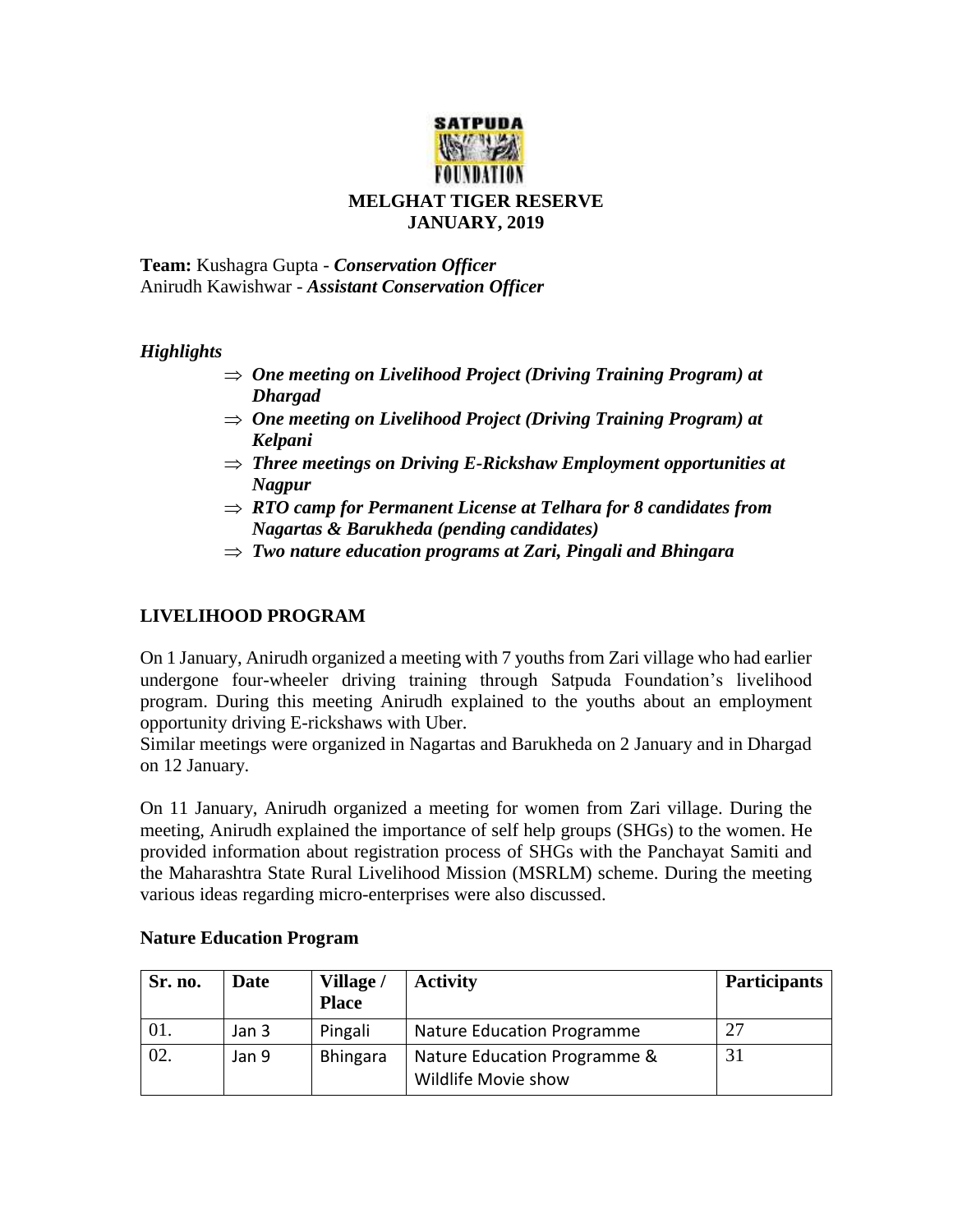

**Team:** Kushagra Gupta - *Conservation Officer* Anirudh Kawishwar - *Assistant Conservation Officer*

## *Highlights*

- *One meeting on Livelihood Project (Driving Training Program) at Dhargad*
- *One meeting on Livelihood Project (Driving Training Program) at Kelpani*
- *Three meetings on Driving E-Rickshaw Employment opportunities at Nagpur*
- *RTO camp for Permanent License at Telhara for 8 candidates from Nagartas & Barukheda (pending candidates)*
- *Two nature education programs at Zari, Pingali and Bhingara*

## **LIVELIHOOD PROGRAM**

On 1 January, Anirudh organized a meeting with 7 youths from Zari village who had earlier undergone four-wheeler driving training through Satpuda Foundation's livelihood program. During this meeting Anirudh explained to the youths about an employment opportunity driving E-rickshaws with Uber.

Similar meetings were organized in Nagartas and Barukheda on 2 January and in Dhargad on 12 January.

On 11 January, Anirudh organized a meeting for women from Zari village. During the meeting, Anirudh explained the importance of self help groups (SHGs) to the women. He provided information about registration process of SHGs with the Panchayat Samiti and the Maharashtra State Rural Livelihood Mission (MSRLM) scheme. During the meeting various ideas regarding micro-enterprises were also discussed.

| Sr. no. | Date  | Village /<br><b>Place</b> | <b>Activity</b>                                     | <b>Participants</b> |
|---------|-------|---------------------------|-----------------------------------------------------|---------------------|
| OI.     | Jan 3 | Pingali                   | Nature Education Programme                          | 27                  |
| 02.     | Jan 9 | <b>Bhingara</b>           | Nature Education Programme &<br>Wildlife Movie show | 31                  |

## **Nature Education Program**